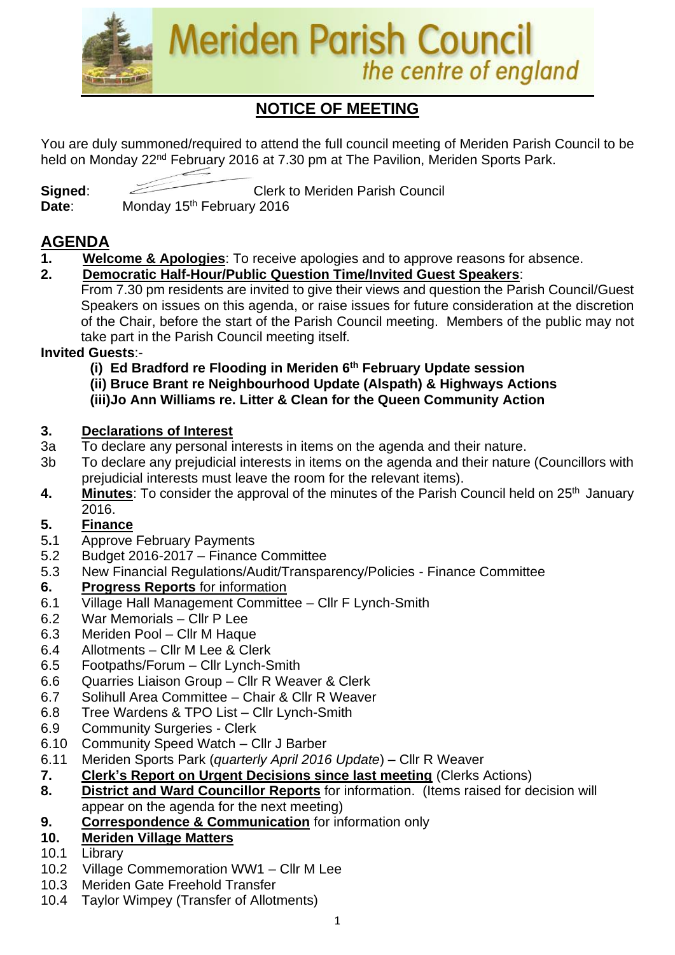

# **NOTICE OF MEETING**

You are duly summoned/required to attend the full council meeting of Meriden Parish Council to be held on Monday 22<sup>nd</sup> February 2016 at 7.30 pm at The Pavilion, Meriden Sports Park.

**Signed:** Clerk to Meriden Parish Council Date: Monday 15<sup>th</sup> February 2016

# **AGENDA**

- **1. Welcome & Apologies**: To receive apologies and to approve reasons for absence.
- **2. Democratic Half-Hour/Public Question Time/Invited Guest Speakers**: From 7.30 pm residents are invited to give their views and question the Parish Council/Guest Speakers on issues on this agenda, or raise issues for future consideration at the discretion of the Chair, before the start of the Parish Council meeting. Members of the public may not take part in the Parish Council meeting itself.

## **Invited Guests**:-

 **(i) Ed Bradford re Flooding in Meriden 6th February Update session (ii) Bruce Brant re Neighbourhood Update (Alspath) & Highways Actions**

 **(iii)Jo Ann Williams re. Litter & Clean for the Queen Community Action**

## **3. Declarations of Interest**

- 3a To declare any personal interests in items on the agenda and their nature.
- 3b To declare any prejudicial interests in items on the agenda and their nature (Councillors with prejudicial interests must leave the room for the relevant items).
- 4. Minutes: To consider the approval of the minutes of the Parish Council held on 25<sup>th</sup> January 2016.

## **5. Finance**

- 5**.**1 Approve February Payments
- 5.2 Budget 2016-2017 Finance Committee
- 5.3 New Financial Regulations/Audit/Transparency/Policies Finance Committee

## **6. Progress Reports** for information

- 6.1 Village Hall Management Committee Cllr F Lynch-Smith
- 6.2 War Memorials Cllr P Lee
- 6.3 Meriden Pool Cllr M Haque
- 6.4 Allotments Cllr M Lee & Clerk
- 6.5 Footpaths/Forum Cllr Lynch-Smith
- 6.6 Quarries Liaison Group Cllr R Weaver & Clerk
- 6.7 Solihull Area Committee Chair & Cllr R Weaver
- 6.8 Tree Wardens & TPO List Cllr Lynch-Smith
- 6.9 Community Surgeries Clerk
- 6.10 Community Speed Watch Cllr J Barber
- 6.11 Meriden Sports Park (*quarterly April 2016 Update*) Cllr R Weaver
- **7. Clerk's Report on Urgent Decisions since last meeting** (Clerks Actions)
- **8. District and Ward Councillor Reports** for information. (Items raised for decision will appear on the agenda for the next meeting)
- **9. Correspondence & Communication** for information only
- **10. Meriden Village Matters**
- 10.1 Library
- 10.2 Village Commemoration WW1 Cllr M Lee
- 10.3 Meriden Gate Freehold Transfer
- 10.4 Taylor Wimpey (Transfer of Allotments)